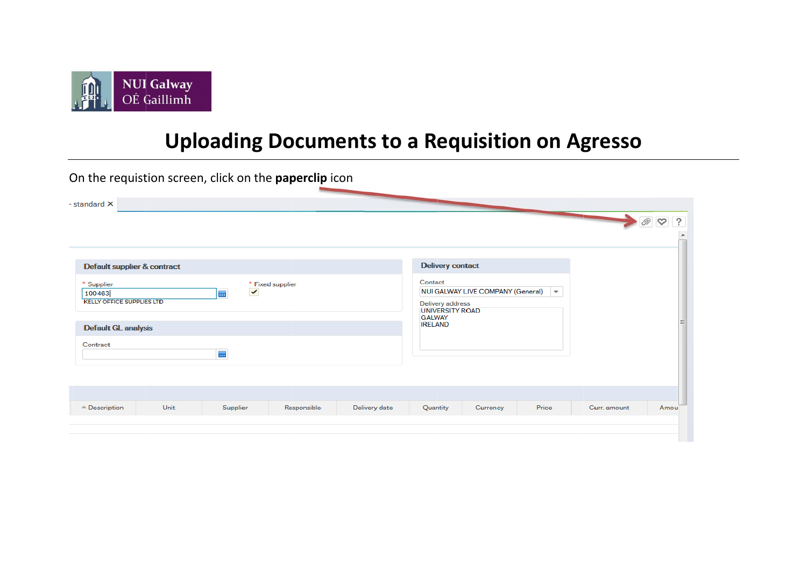

## **Uploading Documents to a Requisition on Agresso**

On the requistion screen, click on the paperclip icon - standard X  $\blacktriangle$  $\oslash$   $\oslash$  ? **Delivery contact** Default supplier & contract Contact \* Supplier \* Fixed supplier NUI GALWAY LIVE COMPANY (General)  $\checkmark$  $\overline{\phantom{a}}$ 100463 **I KELLY OFFICE SUPPLIES LTD** Delivery address **UNIVERSITY ROAD GALWAY IRELAND Default GL analysis** Contract  $\overline{\phantom{a}}$ Amou  $\triangle$  Description Unit Supplier Responsible Delivery date Quantity Price Curr. amount Currency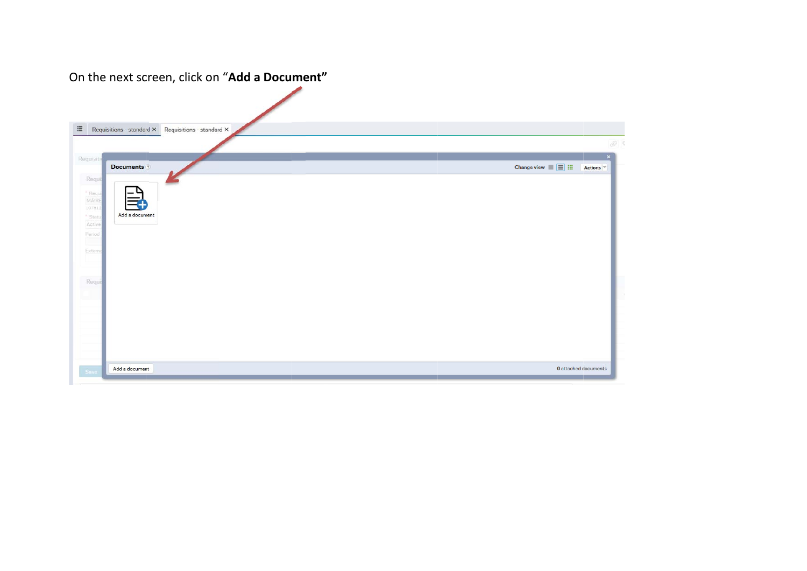## On the next screen, click on "**Add <sup>a</sup> Document"**

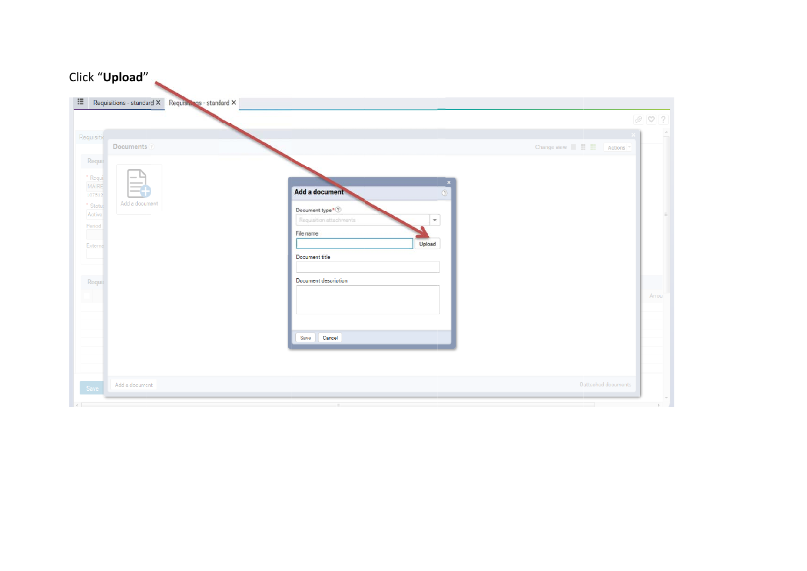| Requisitions - standard X Requisions - standard X                                                        |                                                                                                                                                   | $\emptyset$ ?                                                         |
|----------------------------------------------------------------------------------------------------------|---------------------------------------------------------------------------------------------------------------------------------------------------|-----------------------------------------------------------------------|
| Requisitio<br>Documents ?                                                                                |                                                                                                                                                   | Change view $\blacksquare \equiv \blacksquare$<br>Actions <sup></sup> |
| Requis<br>* Requi<br><b>MÁIRE</b><br>107512<br>Add a document<br>* Statu:<br>Active<br>Period<br>Externa | Add a document<br>Document type $^\star$<br>$\textcircled{?}$<br>Requisition attachments<br>$\mathbf{v}$<br>File name<br>Upload<br>Document title | $\mathbf{x}$<br>$^\circledR$                                          |
| Requis                                                                                                   | Document description                                                                                                                              | Amou                                                                  |
|                                                                                                          | Save Cancel                                                                                                                                       |                                                                       |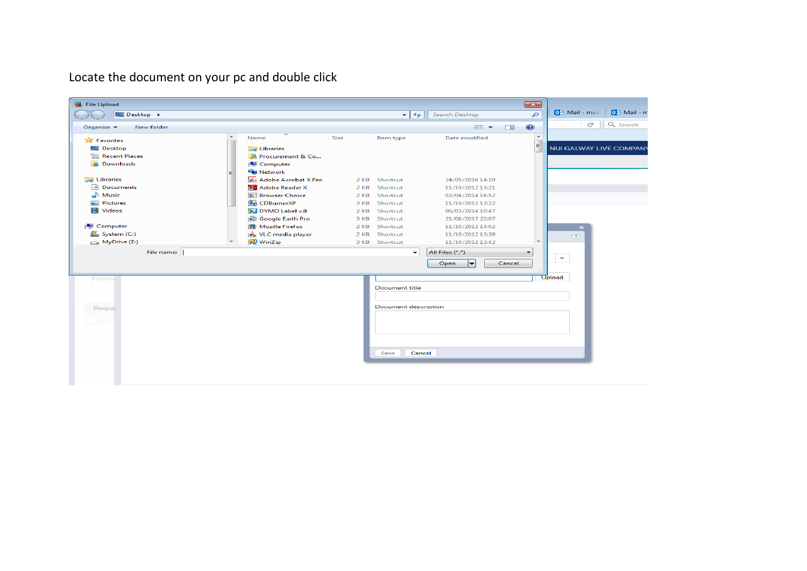Locate the document on your pc and double click

| File Upload                                                                                                                            |                                                                                                                                                                                                                                |                                                      |                                                                                   |                                                                                                                                       | $-x$                         |                                  |             |
|----------------------------------------------------------------------------------------------------------------------------------------|--------------------------------------------------------------------------------------------------------------------------------------------------------------------------------------------------------------------------------|------------------------------------------------------|-----------------------------------------------------------------------------------|---------------------------------------------------------------------------------------------------------------------------------------|------------------------------|----------------------------------|-------------|
| Desktop >                                                                                                                              |                                                                                                                                                                                                                                |                                                      | $\mathbf{v}$ $\mathbf{t}$                                                         | Search Desktop                                                                                                                        | م                            | 04 Mail - mair                   | 02 Mail - m |
| New folder<br>Organize $\blacktriangleright$                                                                                           |                                                                                                                                                                                                                                |                                                      |                                                                                   | ■三 ▼<br>$\Box$                                                                                                                        | $\odot$                      | c                                | Q Search    |
| Favorites<br>Desktop<br>Recent Places<br><b>Downloads</b><br><b>Ed Libraries</b><br>Documents<br>Nusic<br>Pictures<br><b>Ed</b> Videos | ۰<br>Name<br><b>Libraries</b><br>Procurement & Co<br>Computer<br><b>Gu</b> Network<br>Adobe Acrobat X Pro<br>Adobe Reader X<br><b>Browser Choice</b><br><b>CDBurnerXP</b><br>DYMO Label v.8<br><b>Google Earth Pro</b><br>ক্লি | Size<br>2 KB<br>2 KB<br>2 KB<br>3 KB<br>2 KB<br>3 KB | Item type<br>Shortcut<br>Shortcut<br>Shortcut<br>Shortcut<br>Shortcut<br>Shortcut | Date modified<br>24/05/2016 14:19<br>11/10/2012 13:21<br>02/04/2014 16:52<br>11/10/2012 13:22<br>06/03/2014 10:47<br>21/08/2017 22:07 | $\blacktriangle$<br>$\equiv$ | <b>NUI GALWAY LIVE COMPAN</b>    |             |
| Computer<br>System (C:)<br>(E:) MyDrive                                                                                                | <b>Mozilla Firefox</b><br>FD.<br>a. VLC media player<br>WinZip                                                                                                                                                                 | $2$ KB<br>2 KB<br>3 KB                               | Shortcut<br>Shortcut<br>Shortcut                                                  | 11/10/2012 14:02<br>11/10/2012 13:39<br>11/10/2012 13:42                                                                              |                              | $\pmb{\times}$<br>$\circledcirc$ |             |
| File name:                                                                                                                             |                                                                                                                                                                                                                                |                                                      | $\checkmark$                                                                      | All Files (*.*)<br>Cancel<br>Open<br>┝╾                                                                                               | ۰                            | $\overline{\phantom{m}}$         |             |
| Externa<br><b>Requis</b>                                                                                                               |                                                                                                                                                                                                                                |                                                      | <b>Document title</b><br><b>Document description</b><br>Save                      | Cancel                                                                                                                                |                              | Upload                           |             |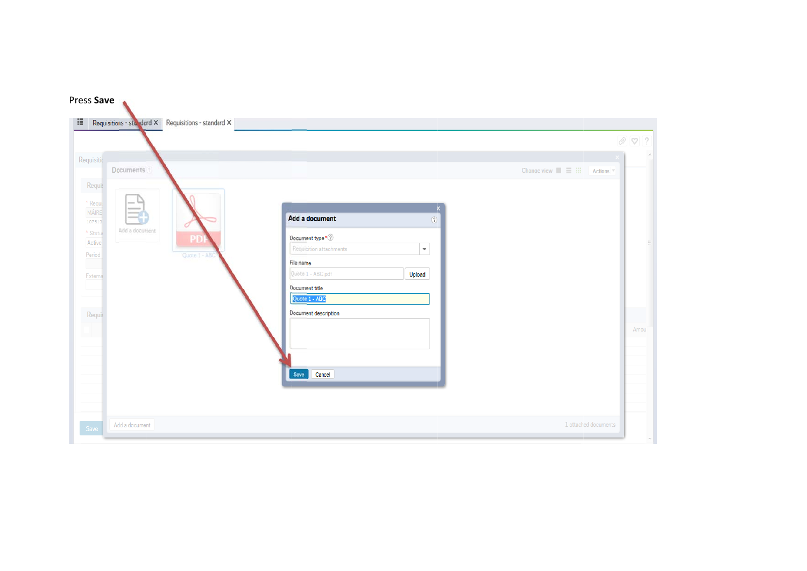|                                      |                                                                                          | $\emptyset$ ?                                          |
|--------------------------------------|------------------------------------------------------------------------------------------|--------------------------------------------------------|
| Requisitio<br>Documents ?            |                                                                                          | Change view $\blacksquare \equiv \blacksquare$ Actions |
| Requis                               |                                                                                          |                                                        |
| * Requi<br>$\sim$<br><b>MÁIRE</b>    |                                                                                          | $\boldsymbol{\mathsf{x}}$                              |
| 107512<br>Add a document<br>* Statu: | Add a document                                                                           | $^\copyright$                                          |
| PD<br>Active                         | Document type * $\textcircled{?}$<br>$\overline{\phantom{a}}$<br>Requisition attachments |                                                        |
| Period<br>Quote 1 - ABC              | File name                                                                                |                                                        |
| Externa                              | Quote 1 - ABC.pdf<br>Upload                                                              |                                                        |
|                                      | Document title<br>Quote 1 - ABC                                                          |                                                        |
| Requis                               | Document description                                                                     |                                                        |
|                                      |                                                                                          | Amou                                                   |
|                                      |                                                                                          |                                                        |
|                                      |                                                                                          |                                                        |
|                                      | Cancel<br>Save                                                                           |                                                        |
|                                      |                                                                                          |                                                        |
|                                      |                                                                                          |                                                        |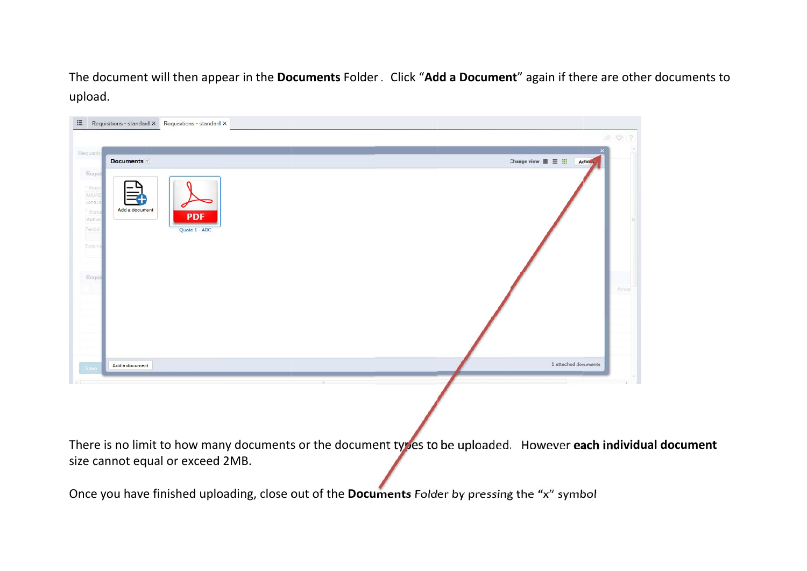The document will then appear in the **Documents** Folder. Click "**Add a Document**" again if there are other documents to u upload.

| $\equiv$                                                                              | Requisitions - standard $\times$ Requisitions - standard $\times$ | 002                                                                    |  |
|---------------------------------------------------------------------------------------|-------------------------------------------------------------------|------------------------------------------------------------------------|--|
| Requisitio                                                                            | <b>Documents</b> ?                                                | Change view $\blacksquare \equiv \blacksquare$<br>Actio <sub>nal</sub> |  |
| Requis<br>" Requi<br>MÁIRE<br>107512<br>* Status<br>Active<br>Period<br>u.<br>Externa | Add a document<br><b>PDF</b><br>Quote 1 - ABC                     |                                                                        |  |
| Requi                                                                                 |                                                                   | Amou                                                                   |  |
| Save                                                                                  | Add a document                                                    | 1 attached documents                                                   |  |
|                                                                                       |                                                                   |                                                                        |  |

There is no limit to how many documents or the document types to be uploaded. However **each individual document** size cannot equal or exceed 2MB. **l**

Once you have finished uploading, close out of the **Documents** Folder by pressing the "x" symbol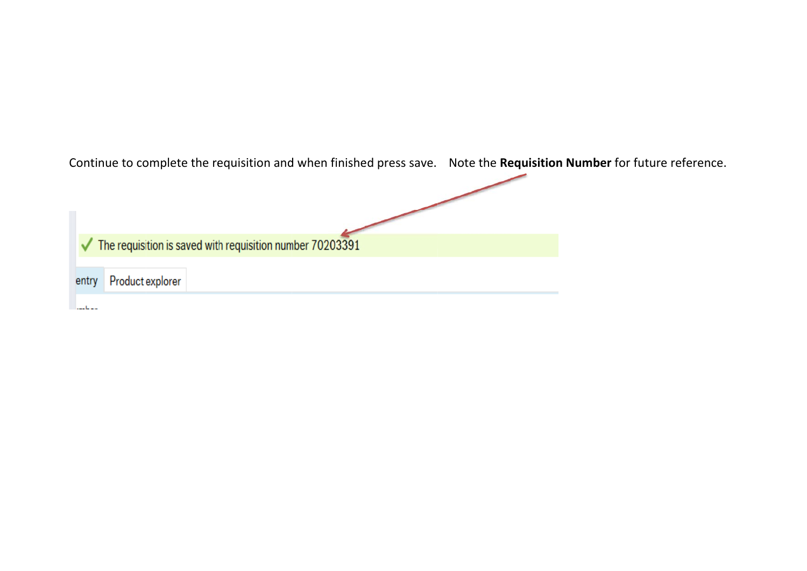|       |                  |                                                                                 | Continue to complete the requisition and when finished press save. | Note the <b>Requisition Number</b> for future reference. |
|-------|------------------|---------------------------------------------------------------------------------|--------------------------------------------------------------------|----------------------------------------------------------|
|       |                  |                                                                                 |                                                                    |                                                          |
|       |                  |                                                                                 |                                                                    |                                                          |
|       |                  |                                                                                 |                                                                    |                                                          |
|       |                  |                                                                                 |                                                                    |                                                          |
|       |                  | $\blacktriangleright$ The requisition is saved with requisition number 70203391 |                                                                    |                                                          |
|       |                  |                                                                                 |                                                                    |                                                          |
| entry | Product explorer |                                                                                 |                                                                    |                                                          |
|       |                  |                                                                                 |                                                                    |                                                          |
|       |                  |                                                                                 |                                                                    |                                                          |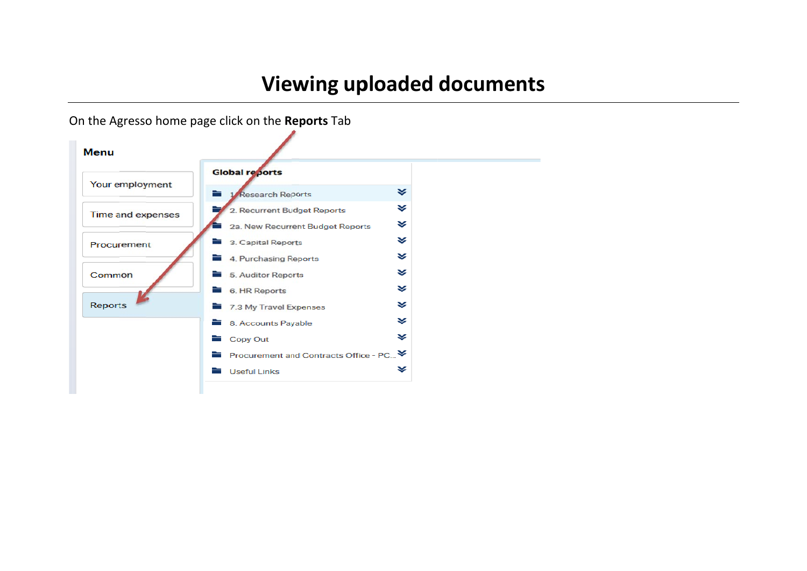## **Vie wing up loaded documents**

On the Agresso home page click on the **R eports** Tab

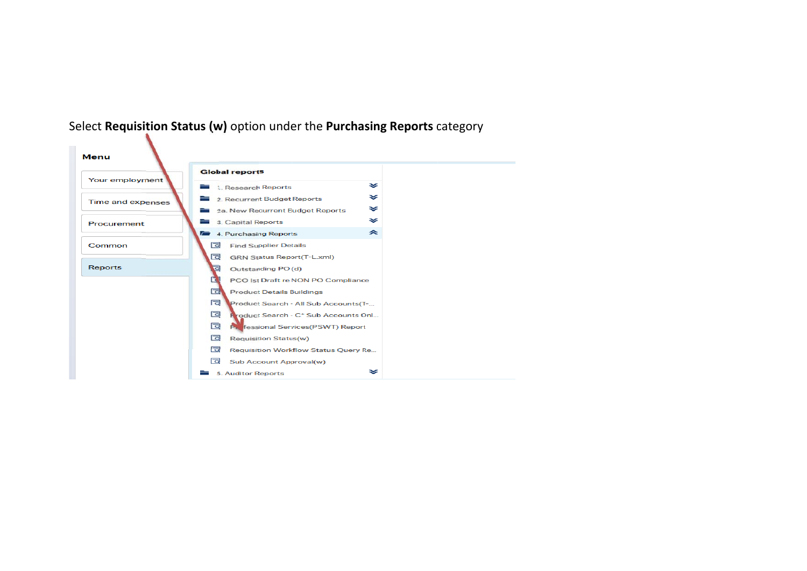

## Select **Requisition Status (w)** option und er the **Purchasing Reports** category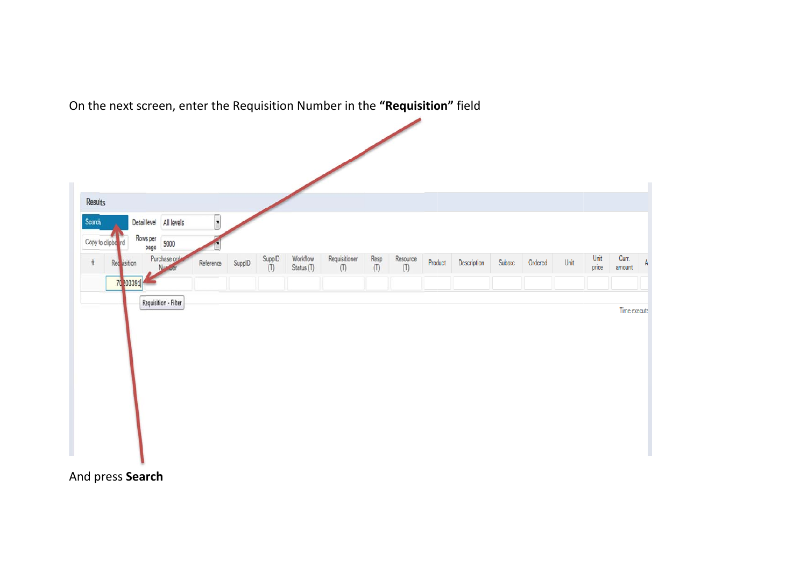| $\overline{\phantom{a}}$<br>Detaillevel All levels<br>Rows per<br>Copy to clipbe rd<br>5000<br>page<br>Purchase orde<br>Workflow<br>$\begin{array}{c} \mathsf{SuppID} \\ \mathsf{(T)} \end{array}$<br>Requisitioner<br>Resp<br>Resource<br>Unit<br>SuppID<br>Product<br>Unit<br>Reference<br>Description<br>Subacc<br>Ordered<br>Red visition<br>(T)<br>Status (T)<br>(T)<br>(T)<br>price | Curr.<br>amount |
|-------------------------------------------------------------------------------------------------------------------------------------------------------------------------------------------------------------------------------------------------------------------------------------------------------------------------------------------------------------------------------------------|-----------------|
|                                                                                                                                                                                                                                                                                                                                                                                           |                 |
|                                                                                                                                                                                                                                                                                                                                                                                           |                 |
|                                                                                                                                                                                                                                                                                                                                                                                           |                 |
|                                                                                                                                                                                                                                                                                                                                                                                           |                 |
|                                                                                                                                                                                                                                                                                                                                                                                           |                 |
|                                                                                                                                                                                                                                                                                                                                                                                           |                 |
| 70 203391                                                                                                                                                                                                                                                                                                                                                                                 |                 |
| Requisition - Filter                                                                                                                                                                                                                                                                                                                                                                      |                 |

On the next screen, enter the Requisition Number in the "Requisition" field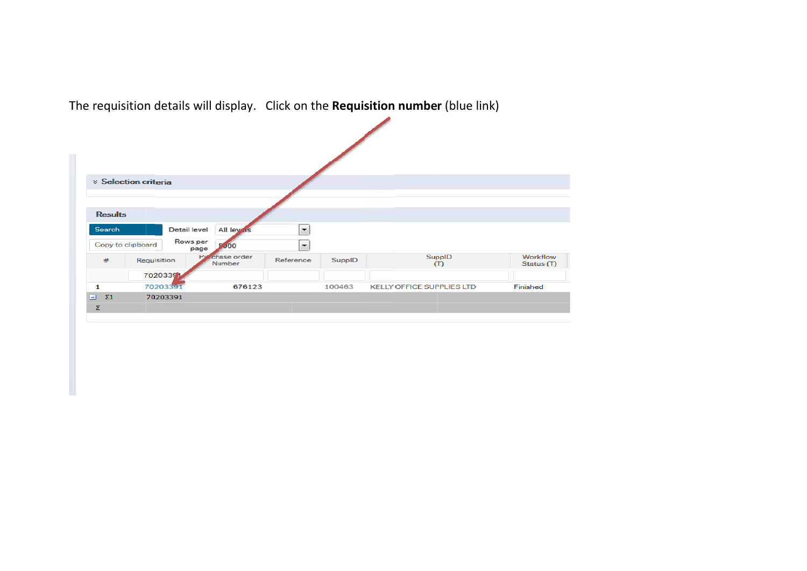|                      | <b>× Selection criteria</b>   |                          |                          |        |                                  |                        |
|----------------------|-------------------------------|--------------------------|--------------------------|--------|----------------------------------|------------------------|
|                      |                               |                          |                          |        |                                  |                        |
|                      |                               |                          |                          |        |                                  |                        |
| <b>Results</b>       |                               |                          |                          |        |                                  |                        |
| Search               | <b>Detail level</b>           | All ley is               | $\overline{\phantom{a}}$ |        |                                  |                        |
|                      | Rows per<br>Copy to clipboard | 5000<br>page             | $\overline{\phantom{a}}$ |        |                                  |                        |
| #                    | Requisition                   | Pyrchase order<br>Number | Reference                | SuppID | SuppID<br>(T)                    | Workflow<br>Status (T) |
|                      | 70203391                      |                          |                          |        |                                  |                        |
| $\mathbf{1}$         | 70203391                      | 676123                   |                          | 100463 | <b>KELLY OFFICE SUPPLIES LTD</b> | Finished               |
| $\Sigma$ 1<br>$\Box$ | 70203391                      |                          |                          |        |                                  |                        |
| Σ                    |                               |                          |                          |        |                                  |                        |

The requisition details will display. Click on the **Requisition number** (blue link)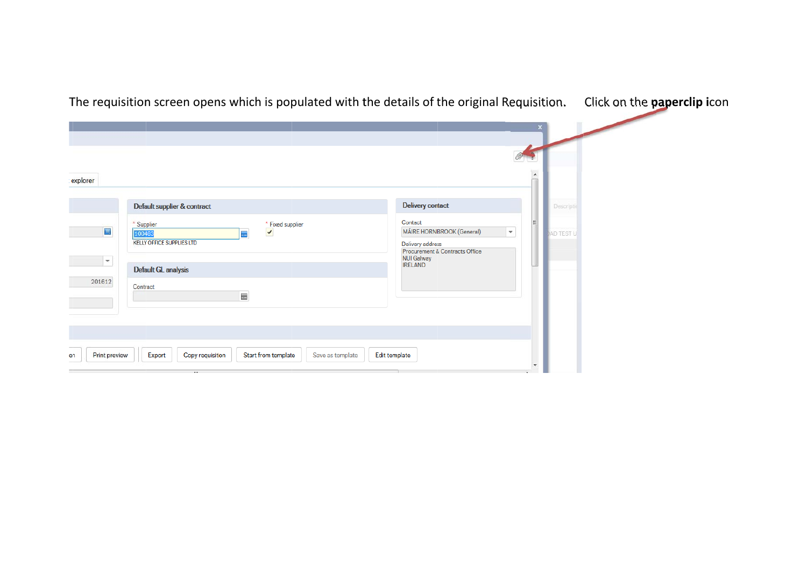| explorer                 |                                                                                                            |                                                                                      |  |
|--------------------------|------------------------------------------------------------------------------------------------------------|--------------------------------------------------------------------------------------|--|
|                          | Default supplier & contract                                                                                | <b>Delivery contact</b><br>Descriptio                                                |  |
| $\blacksquare$           | * Supplier<br>* Fixed supplier<br>$\blacktriangledown$<br>100463<br>ш,<br><b>KELLY OFFICE SUPPLIES LTD</b> | Contact<br>MÁIRE HORNIBROOK (General)<br>÷.<br><b>JAD TEST U</b><br>Delivery address |  |
| $\overline{\phantom{a}}$ | Default GL analysis                                                                                        | Procurement & Contracts Office<br><b>NUI Galway</b><br><b>IRELAND</b>                |  |
| 201612                   | Contract<br>$\blacksquare$                                                                                 |                                                                                      |  |
|                          |                                                                                                            |                                                                                      |  |
| Print preview<br>en      | Export<br>Start from template<br>Save as template<br>Copy requisition<br><b>TELL</b>                       | Edit template                                                                        |  |

Click on the **paperclip** icon

The requisition screen opens which is populated with the details of the original Requisition.